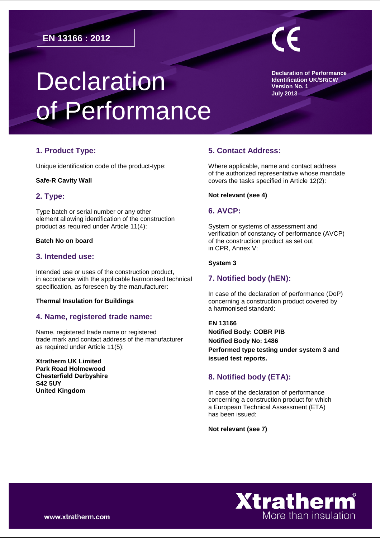# **Declaration** of Performance

**Declaration of Performance Identification UK/SR/CW Version No. 1 July 2013**

# **1. Product Type:**

Unique identification code of the product-type:

#### **Safe-R Cavity Wall**

# **2. Type:**

Type batch or serial number or any other element allowing identification of the construction product as required under Article 11(4):

#### **Batch No on board**

## **3. Intended use:**

Intended use or uses of the construction product, in accordance with the applicable harmonised technical specification, as foreseen by the manufacturer:

#### **Thermal Insulation for Buildings**

# **4. Name, registered trade name:**

Name, registered trade name or registered trade mark and contact address of the manufacturer as required under Article 11(5):

**Xtratherm UK Limited Park Road Holmewood Chesterfield Derbyshire S42 5UY United Kingdom**

# **5. Contact Address:**

Where applicable, name and contact address of the authorized representative whose mandate covers the tasks specified in Article 12(2):

#### **Not relevant (see 4)**

## **6. AVCP:**

System or systems of assessment and verification of constancy of performance (AVCP) of the construction product as set out in CPR, Annex V:

#### **System 3**

# **7. Notified body (hEN):**

In case of the declaration of performance (DoP) concerning a construction product covered by a harmonised standard:

**EN 13166 Notified Body: COBR PIB Notified Body No: 1486 Performed type testing under system 3 and issued test reports.** 

# **8. Notified body (ETA):**

In case of the declaration of performance concerning a construction product for which a European Technical Assessment (ETA) has been issued:

**Not relevant (see 7)**